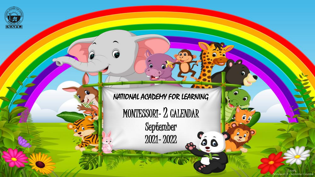

NATIONAL ACADEMY FOR LEARNING

MONTESSORI- 2 CALENDAR

September 2021- 2022  $\overline{\phantom{a}}$ 

 $\bullet$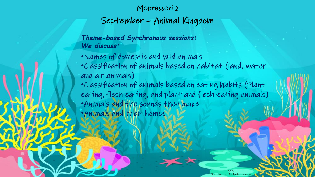## Montessori 2

September – Animal Kingdom

*Theme-based Synchronous sessions: We discuss:*

•Names of domestic and wild animals •Classification of animals based on habitat (land, water and air animals) •Classification of animals based on eating habits (Plant eating, flesh eating, and plant and flesh-eating animals) •Animals and the sounds they make •Animals and their homes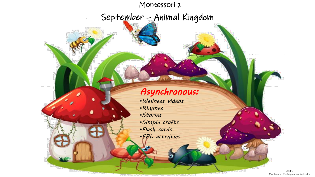## Montessori 2

September – Animal Kingdom

## *Asynchronous:*

•*Wellness videos* •*Rhymes* •*Stories* •*Simple crafts* •*Flash cards* •*EPL activities*

> NAFL Montessori 2 – September Calendar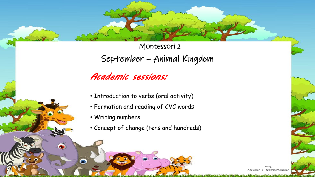Montessori 2 September – Animal Kingdom

## *Academic sessions:*

- Introduction to verbs (oral activity)
- Formation and reading of CVC words
- Writing numbers

 $\bullet$ 

⊝

• Concept of change (tens and hundreds)

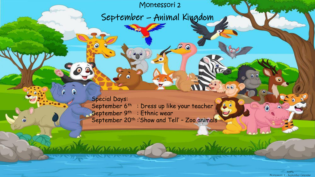Montessori 2

◎

 $\circledcirc$ 

Marcard

September – Animal Kingdom

Special Days: September 6<sup>th</sup> : Dress up like your teacher September  $9<sup>th</sup>$  : Ethnic wear September 20<sup>th</sup> :'Show and Tell' - Zoo animals

A

Jan March 1960

õ

MAFL – August Calendary 1 NAFL – August Calendary 1 NAFL – August Calendary 1 NAFL – August Calendary 1 NAFL – August Calendary 1 NAFL – August Calendary 1 NAFL – August Calendary 1 NAFL – August Calendary 1 NAFL – August Montessori 2 – September Calendar

 $00$ 

 $\widehat{\mathbf{0}}$ 

 $00$ 

 $00$ 

Carpenter